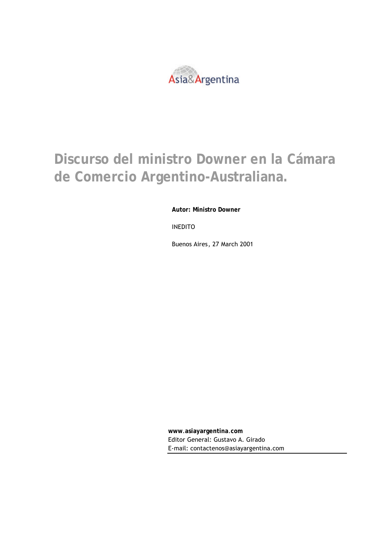

## **Discurso del ministro Downer en la Cámara de Comercio Argentino-Australiana.**

**Autor: Ministro Downer**

INEDITO

Buenos Aires, 27 March 2001

**www**.**asiayargentina**.**com** Editor General: Gustavo A. Girado E-mail: contactenos@asiayargentina.com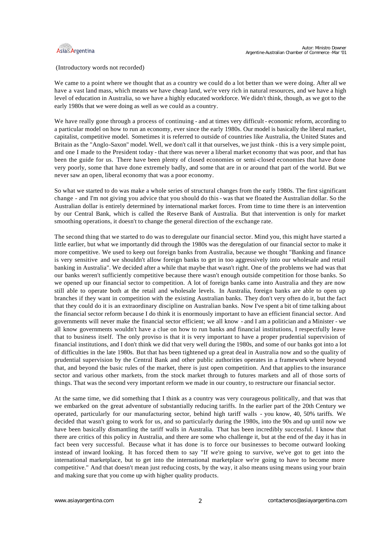

## (Introductory words not recorded)

We came to a point where we thought that as a country we could do a lot better than we were doing. After all we have a vast land mass, which means we have cheap land, we're very rich in natural resources, and we have a high level of education in Australia, so we have a highly educated workforce. We didn't think, though, as we got to the early 1980s that we were doing as well as we could as a country.

We have really gone through a process of continuing - and at times very difficult - economic reform, according to a particular model on how to run an economy, ever since the early 1980s. Our model is basically the liberal market, capitalist, competitive model. Sometimes it is referred to outside of countries like Australia, the United States and Britain as the "Anglo-Saxon" model. Well, we don't call it that ourselves, we just think - this is a very simple point, and one I made to the President today - that there was never a liberal market economy that was poor, and that has been the guide for us. There have been plenty of closed economies or semi-closed economies that have done very poorly, some that have done extremely badly, and some that are in or around that part of the world. But we never saw an open, liberal economy that was a poor economy.

So what we started to do was make a whole series of structural changes from the early 1980s. The first significant change - and I'm not giving you advice that you should do this - was that we floated the Australian dollar. So the Australian dollar is entirely determined by international market forces. From time to time there is an intervention by our Central Bank, which is called the Reserve Bank of Australia. But that intervention is only for market smoothing operations, it doesn't to change the general direction of the exchange rate.

The second thing that we started to do was to deregulate our financial sector. Mind you, this might have started a little earlier, but what we importantly did through the 1980s was the deregulation of our financial sector to make it more competitive. We used to keep out foreign banks from Australia, because we thought "Banking and finance is very sensitive and we shouldn't allow foreign banks to get in too aggressively into our wholesale and retail banking in Australia". We decided after a while that maybe that wasn't right. One of the problems we had was that our banks weren't sufficiently competitive because there wasn't enough outside competition for those banks. So we opened up our financial sector to competition. A lot of foreign banks came into Australia and they are now still able to operate both at the retail and wholesale levels. In Australia, foreign banks are able to open up branches if they want in competition with the existing Australian banks. They don't very often do it, but the fact that they could do it is an extraordinary discipline on Australian banks. Now I've spent a bit of time talking about the financial sector reform because I do think it is enormously important to have an efficient financial sector. And governments will never make the financial sector efficient; we all know - and I am a politician and a Minister - we all know governments wouldn't have a clue on how to run banks and financial institutions, I respectfully leave that to business itself. The only proviso is that it is very important to have a proper prudential supervision of financial institutions, and I don't think we did that very well during the 1980s, and some of our banks got into a lot of difficulties in the late 1980s. But that has been tightened up a great deal in Australia now and so the quality of prudential supervision by the Central Bank and other public authorities operates in a framework where beyond that, and beyond the basic rules of the market, there is just open competition. And that applies to the insurance sector and various other markets, from the stock market through to futures markets and all of those sorts of things. That was the second very important reform we made in our country, to restructure our financial sector.

At the same time, we did something that I think as a country was very courageous politically, and that was that we embarked on the great adventure of substantially reducing tariffs. In the earlier part of the 20th Century we operated, particularly for our manufacturing sector, behind high tariff walls - you know, 40, 50% tariffs. We decided that wasn't going to work for us, and so particularly during the 1980s, into the 90s and up until now we have been basically dismantling the tariff walls in Australia. That has been incredibly successful. I know that there are critics of this policy in Australia, and there are some who challenge it, but at the end of the day it has in fact been very successful. Because what it has done is to force our businesses to become outward looking instead of inward looking. It has forced them to say "If we're going to survive, we've got to get into the international marketplace, but to get into the international marketplace we're going to have to become more competitive." And that doesn't mean just reducing costs, by the way, it also means using means using your brain and making sure that you come up with higher quality products.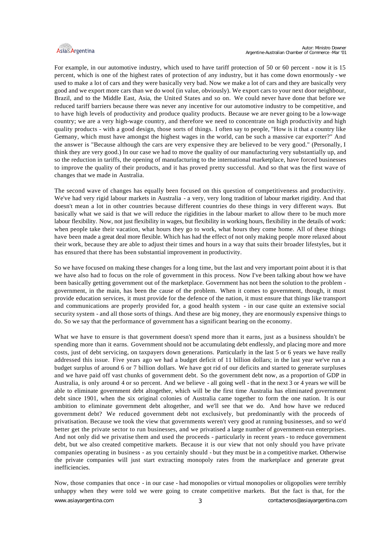

For example, in our automotive industry, which used to have tariff protection of 50 or 60 percent - now it is 15 percent, which is one of the highest rates of protection of any industry, but it has come down enormously - we used to make a lot of cars and they were basically very bad. Now we make a lot of cars and they are basically very good and we export more cars than we do wool (in value, obviously). We export cars to your next door neighbour, Brazil, and to the Middle East, Asia, the United States and so on. We could never have done that before we reduced tariff barriers because there was never any incentive for our automotive industry to be competitive, and to have high levels of productivity and produce quality products. Because we are never going to be a low-wage country; we are a very high-wage country, and therefore we need to concentrate on high productivity and high quality products - with a good design, those sorts of things. I often say to people, "How is it that a country like Germany, which must have amongst the highest wages in the world, can be such a massive car exporter?" And the answer is "Because although the cars are very expensive they are believed to be very good." (Personally, I think they are very good.) In our case we had to move the quality of our manufacturing very substantially up, and so the reduction in tariffs, the opening of manufacturing to the international marketplace, have forced businesses to improve the quality of their products, and it has proved pretty successful. And so that was the first wave of changes that we made in Australia.

The second wave of changes has equally been focused on this question of competitiveness and productivity. We've had very rigid labour markets in Australia - a very, very long tradition of labour market rigidity. And that doesn't mean a lot in other countries because different countries do these things in very different ways. But basically what we said is that we will reduce the rigidities in the labour market to allow there to be much more labour flexibility. Now, not just flexibility in wages, but flexibility in working hours, flexibility in the details of work: when people take their vacation, what hours they go to work, what hours they come home. All of these things have been made a great deal more flexible. Which has had the effect of not only making people more relaxed about their work, because they are able to adjust their times and hours in a way that suits their broader lifestyles, but it has ensured that there has been substantial improvement in productivity.

So we have focused on making these changes for a long time, but the last and very important point about it is that we have also had to focus on the role of government in this process. Now I've been talking about how we have been basically getting government out of the marketplace. Government has not been the solution to the problem government, in the main, has been the cause of the problem. When it comes to government, though, it must provide education services, it must provide for the defence of the nation, it must ensure that things like transport and communications are properly provided for, a good health system - in our case quite an extensive social security system - and all those sorts of things. And these are big money, they are enormously expensive things to do. So we say that the performance of government has a significant bearing on the economy.

What we have to ensure is that government doesn't spend more than it earns, just as a business shouldn't be spending more than it earns. Government should not be accumulating debt endlessly, and placing more and more costs, just of debt servicing, on taxpayers down generations. Particularly in the last 5 or 6 years we have really addressed this issue. Five years ago we had a budget deficit of 11 billion dollars; in the last year we've run a budget surplus of around 6 or 7 billion dollars. We have got rid of our deficits and started to generate surpluses and we have paid off vast chunks of government debt. So the government debt now, as a proportion of GDP in Australia, is only around 4 or so percent. And we believe - all going well - that in the next 3 or 4 years we will be able to eliminate government debt altogether, which will be the first time Australia has eliminated government debt since 1901, when the six original colonies of Australia came together to form the one nation. It is our ambition to eliminate government debt altogether, and we'll see that we do. And how have we reduced government debt? We reduced government debt not exclusively, but predominantly with the proceeds of privatisation. Because we took the view that governments weren't very good at running businesses, and so we'd better get the private sector to run businesses, and we privatised a large number of government-run enterprises. And not only did we privatise them and used the proceeds - particularly in recent years - to reduce government debt, but we also created competitive markets. Because it is our view that not only should you have private companies operating in business - as you certainly should - but they must be in a competitive market. Otherwise the private companies will just start extracting monopoly rates from the marketplace and generate great inefficiencies.

Now, those companies that once - in our case - had monopolies or virtual monopolies or oligopolies were terribly unhappy when they were told we were going to create competitive markets. But the fact is that, for the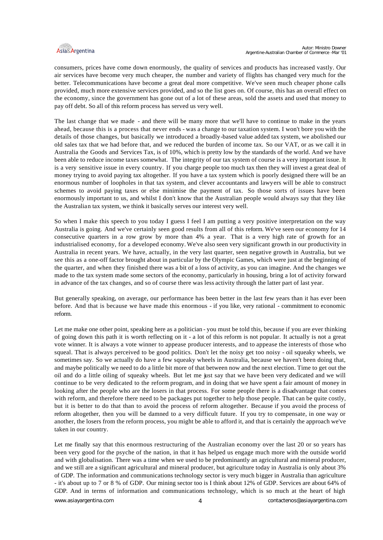

consumers, prices have come down enormously, the quality of services and products has increased vastly. Our air services have become very much cheaper, the number and variety of flights has changed very much for the better. Telecommunications have become a great deal more competitive. We've seen much cheaper phone calls provided, much more extensive services provided, and so the list goes on. Of course, this has an overall effect on the economy, since the government has gone out of a lot of these areas, sold the assets and used that money to pay off debt. So all of this reform process has served us very well.

The last change that we made - and there will be many more that we'll have to continue to make in the years ahead, because this is a process that never ends - was a change to our taxation system. I won't bore you with the details of those changes, but basically we introduced a broadly-based value added tax system, we abolished our old sales tax that we had before that, and we reduced the burden of income tax. So our VAT, or as we call it in Australia the Goods and Services Tax, is of 10%, which is pretty low by the standards of the world. And we have been able to reduce income taxes somewhat. The integrity of our tax system of course is a very important issue. It is a very sensitive issue in every country. If you charge people too much tax then they will invest a great deal of money trying to avoid paying tax altogether. If you have a tax system which is poorly designed there will be an enormous number of loopholes in that tax system, and clever accountants and lawyers will be able to construct schemes to avoid paying taxes or else minimise the payment of tax. So those sorts of issues have been enormously important to us, and whilst I don't know that the Australian people would always say that they like the Australian tax system, we think it basically serves our interest very well.

So when I make this speech to you today I guess I feel I am putting a very positive interpretation on the way Australia is going. And we've certainly seen good results from all of this reform. We've seen our economy for 14 consecutive quarters in a row grow by more than 4% a year. That is a very high rate of growth for an industrialised economy, for a developed economy. We've also seen very significant growth in our productivity in Australia in recent years. We have, actually, in the very last quarter, seen negative growth in Australia, but we see this as a one-off factor brought about in particular by the Olympic Games, which were just at the beginning of the quarter, and when they finished there was a bit of a loss of activity, as you can imagine. And the changes we made to the tax system made some sectors of the economy, particularly in housing, bring a lot of activity forward in advance of the tax changes, and so of course there was less activity through the latter part of last year.

But generally speaking, on average, our performance has been better in the last few years than it has ever been before. And that is because we have made this enormous - if you like, very rational - commitment to economic reform.

Let me make one other point, speaking here as a politician - you must be told this, because if you are ever thinking of going down this path it is worth reflecting on it - a lot of this reform is not popular. It actually is not a great vote winner. It is always a vote winner to appease producer interests, and to appease the interests of those who squeal. That is always perceived to be good politics. Don't let the noisy get too noisy - oil squeaky wheels, we sometimes say. So we actually do have a few squeaky wheels in Australia, because we haven't been doing that, and maybe politically we need to do a little bit more of that between now and the next election. Time to get out the oil and do a little oiling of squeaky wheels. But let me just say that we have been very dedicated and we will continue to be very dedicated to the reform program, and in doing that we have spent a fair amount of money in looking after the people who are the losers in that process. For some people there is a disadvantage that comes with reform, and therefore there need to be packages put together to help those people. That can be quite costly, but it is better to do that than to avoid the process of reform altogether. Because if you avoid the process of reform altogether, then you will be damned to a very difficult future. If you try to compensate, in one way or another, the losers from the reform process, you might be able to afford it, and that is certainly the approach we've taken in our country.

Let me finally say that this enormous restructuring of the Australian economy over the last 20 or so years has been very good for the psyche of the nation, in that it has helped us engage much more with the outside world and with globalisation. There was a time when we used to be predominantly an agricultural and mineral producer, and we still are a significant agricultural and mineral producer, but agriculture today in Australia is only about 3% of GDP. The information and communications technology sector is very much bigger in Australia than agriculture - it's about up to 7 or 8 % of GDP. Our mining sector too is I think about 12% of GDP. Services are about 64% of GDP. And in terms of information and communications technology, which is so much at the heart of high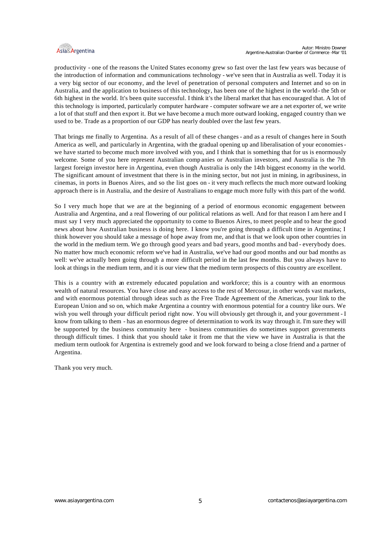

productivity - one of the reasons the United States economy grew so fast over the last few years was because of the introduction of information and communications technology - we've seen that in Australia as well. Today it is a very big sector of our economy, and the level of penetration of personal computers and Internet and so on in Australia, and the application to business of this technology, has been one of the highest in the world- the 5th or 6th highest in the world. It's been quite successful. I think it's the liberal market that has encouraged that. A lot of this technology is imported, particularly computer hardware - computer software we are a net exporter of, we write a lot of that stuff and then export it. But we have become a much more outward looking, engaged country than we used to be. Trade as a proportion of our GDP has nearly doubled over the last few years.

That brings me finally to Argentina. As a result of all of these changes - and as a result of changes here in South America as well, and particularly in Argentina, with the gradual opening up and liberalisation of your economies we have started to become much more involved with you, and I think that is something that for us is enormously welcome. Some of you here represent Australian comp anies or Australian investors, and Australia is the 7th largest foreign investor here in Argentina, even though Australia is only the 14th biggest economy in the world. The significant amount of investment that there is in the mining sector, but not just in mining, in agribusiness, in cinemas, in ports in Buenos Aires, and so the list goes on - it very much reflects the much more outward looking approach there is in Australia, and the desire of Australians to engage much more fully with this part of the world.

So I very much hope that we are at the beginning of a period of enormous economic engagement between Australia and Argentina, and a real flowering of our political relations as well. And for that reason I am here and I must say I very much appreciated the opportunity to come to Buenos Aires, to meet people and to hear the good news about how Australian business is doing here. I know you're going through a difficult time in Argentina; I think however you should take a message of hope away from me, and that is that we look upon other countries in the world in the medium term. We go through good years and bad years, good months and bad - everybody does. No matter how much economic reform we've had in Australia, we've had our good months and our bad months as well: we've actually been going through a more difficult period in the last few months. But you always have to look at things in the medium term, and it is our view that the medium term prospects of this country are excellent.

This is a country with an extremely educated population and workforce; this is a country with an enormous wealth of natural resources. You have close and easy access to the rest of Mercosur, in other words vast markets, and with enormous potential through ideas such as the Free Trade Agreement of the Americas, your link to the European Union and so on, which make Argentina a country with enormous potential for a country like ours. We wish you well through your difficult period right now. You will obviously get through it, and your government - I know from talking to them - has an enormous degree of determination to work its way through it. I'm sure they will be supported by the business community here - business communities do sometimes support governments through difficult times. I think that you should take it from me that the view we have in Australia is that the medium term outlook for Argentina is extremely good and we look forward to being a close friend and a partner of Argentina.

Thank you very much.